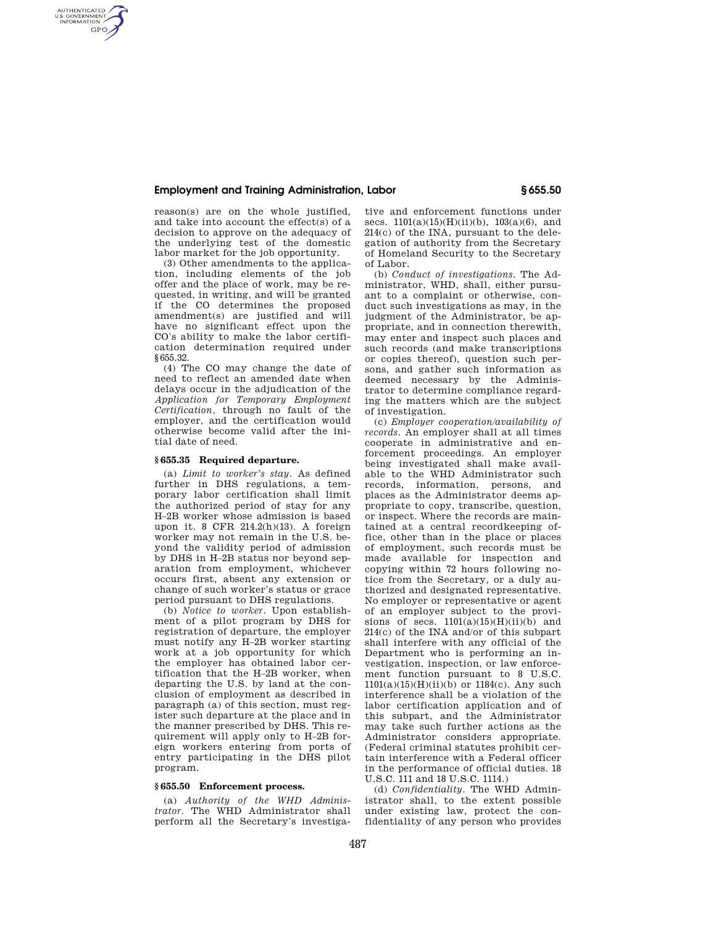# **Employment and Training Administration, Labor § 655.50**

reason(s) are on the whole justified, and take into account the effect(s) of a decision to approve on the adequacy of the underlying test of the domestic labor market for the job opportunity.

AUTHENTICATED<br>U.S. GOVERNMENT<br>INFORMATION **GPO** 

> (3) Other amendments to the application, including elements of the job offer and the place of work, may be requested, in writing, and will be granted if the CO determines the proposed amendment(s) are justified and will have no significant effect upon the CO's ability to make the labor certification determination required under §655.32.

> (4) The CO may change the date of need to reflect an amended date when delays occur in the adjudication of the *Application for Temporary Employment Certification,* through no fault of the employer, and the certification would otherwise become valid after the initial date of need.

#### **§ 655.35 Required departure.**

(a) *Limit to worker's stay.* As defined further in DHS regulations, a temporary labor certification shall limit the authorized period of stay for any H–2B worker whose admission is based upon it. 8 CFR 214.2(h)(13). A foreign worker may not remain in the U.S. beyond the validity period of admission by DHS in H–2B status nor beyond separation from employment, whichever occurs first, absent any extension or change of such worker's status or grace period pursuant to DHS regulations.

(b) *Notice to worker.* Upon establishment of a pilot program by DHS for registration of departure, the employer must notify any H–2B worker starting work at a job opportunity for which the employer has obtained labor certification that the H–2B worker, when departing the U.S. by land at the conclusion of employment as described in paragraph (a) of this section, must register such departure at the place and in the manner prescribed by DHS. This requirement will apply only to H–2B foreign workers entering from ports of entry participating in the DHS pilot program.

# **§ 655.50 Enforcement process.**

(a) *Authority of the WHD Administrator.* The WHD Administrator shall perform all the Secretary's investigative and enforcement functions under secs.  $1101(a)(15)(H)(ii)(b)$ ,  $103(a)(6)$ , and 214(c) of the INA, pursuant to the delegation of authority from the Secretary of Homeland Security to the Secretary of Labor.

(b) *Conduct of investigations.* The Administrator, WHD, shall, either pursuant to a complaint or otherwise, conduct such investigations as may, in the judgment of the Administrator, be appropriate, and in connection therewith, may enter and inspect such places and such records (and make transcriptions or copies thereof), question such persons, and gather such information as deemed necessary by the Administrator to determine compliance regarding the matters which are the subject of investigation.

(c) *Employer cooperation/availability of records.* An employer shall at all times cooperate in administrative and enforcement proceedings. An employer being investigated shall make available to the WHD Administrator such records, information, persons, and places as the Administrator deems appropriate to copy, transcribe, question, or inspect. Where the records are maintained at a central recordkeeping office, other than in the place or places of employment, such records must be made available for inspection and copying within 72 hours following notice from the Secretary, or a duly authorized and designated representative. No employer or representative or agent of an employer subject to the provisions of secs.  $1101(a)(15)(H)(ii)(b)$  and 214(c) of the INA and/or of this subpart shall interfere with any official of the Department who is performing an investigation, inspection, or law enforcement function pursuant to 8 U.S.C.  $1101(a)(15)(H)(ii)(b)$  or  $1184(c)$ . Any such interference shall be a violation of the labor certification application and of this subpart, and the Administrator may take such further actions as the Administrator considers appropriate. (Federal criminal statutes prohibit certain interference with a Federal officer in the performance of official duties. 18 U.S.C. 111 and 18 U.S.C. 1114.)

(d) *Confidentiality.* The WHD Administrator shall, to the extent possible under existing law, protect the confidentiality of any person who provides